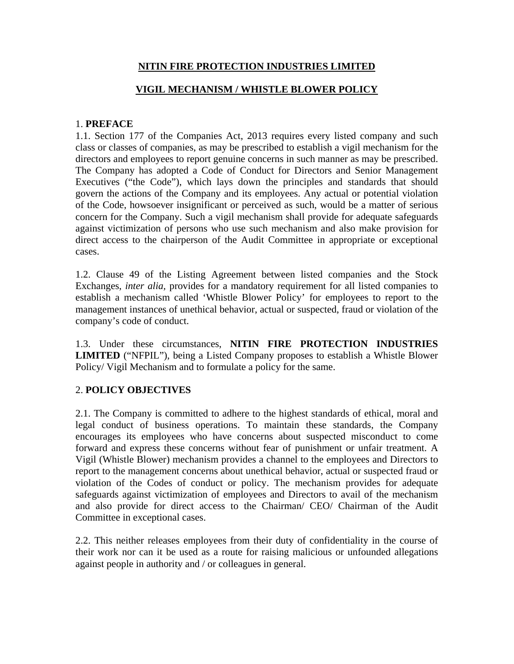## **NITIN FIRE PROTECTION INDUSTRIES LIMITED**

## **VIGIL MECHANISM / WHISTLE BLOWER POLICY**

### 1. **PREFACE**

1.1. Section 177 of the Companies Act, 2013 requires every listed company and such class or classes of companies, as may be prescribed to establish a vigil mechanism for the directors and employees to report genuine concerns in such manner as may be prescribed. The Company has adopted a Code of Conduct for Directors and Senior Management Executives ("the Code"), which lays down the principles and standards that should govern the actions of the Company and its employees. Any actual or potential violation of the Code, howsoever insignificant or perceived as such, would be a matter of serious concern for the Company. Such a vigil mechanism shall provide for adequate safeguards against victimization of persons who use such mechanism and also make provision for direct access to the chairperson of the Audit Committee in appropriate or exceptional cases.

1.2. Clause 49 of the Listing Agreement between listed companies and the Stock Exchanges, *inter alia,* provides for a mandatory requirement for all listed companies to establish a mechanism called 'Whistle Blower Policy' for employees to report to the management instances of unethical behavior, actual or suspected, fraud or violation of the company's code of conduct.

1.3. Under these circumstances, **NITIN FIRE PROTECTION INDUSTRIES LIMITED** ("NFPIL"), being a Listed Company proposes to establish a Whistle Blower Policy/ Vigil Mechanism and to formulate a policy for the same.

## 2. **POLICY OBJECTIVES**

2.1. The Company is committed to adhere to the highest standards of ethical, moral and legal conduct of business operations. To maintain these standards, the Company encourages its employees who have concerns about suspected misconduct to come forward and express these concerns without fear of punishment or unfair treatment. A Vigil (Whistle Blower) mechanism provides a channel to the employees and Directors to report to the management concerns about unethical behavior, actual or suspected fraud or violation of the Codes of conduct or policy. The mechanism provides for adequate safeguards against victimization of employees and Directors to avail of the mechanism and also provide for direct access to the Chairman/ CEO/ Chairman of the Audit Committee in exceptional cases.

2.2. This neither releases employees from their duty of confidentiality in the course of their work nor can it be used as a route for raising malicious or unfounded allegations against people in authority and / or colleagues in general.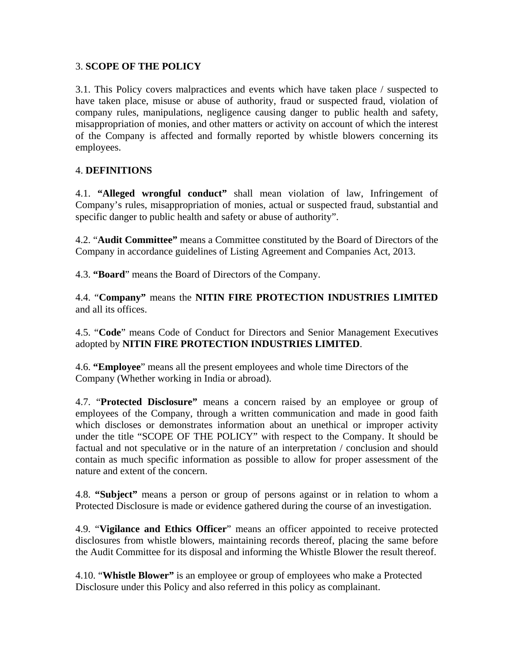### 3. **SCOPE OF THE POLICY**

3.1. This Policy covers malpractices and events which have taken place / suspected to have taken place, misuse or abuse of authority, fraud or suspected fraud, violation of company rules, manipulations, negligence causing danger to public health and safety, misappropriation of monies, and other matters or activity on account of which the interest of the Company is affected and formally reported by whistle blowers concerning its employees.

### 4. **DEFINITIONS**

4.1. **"Alleged wrongful conduct"** shall mean violation of law, Infringement of Company's rules, misappropriation of monies, actual or suspected fraud, substantial and specific danger to public health and safety or abuse of authority".

4.2. "**Audit Committee"** means a Committee constituted by the Board of Directors of the Company in accordance guidelines of Listing Agreement and Companies Act, 2013.

4.3. **"Board**" means the Board of Directors of the Company.

4.4. "**Company"** means the **NITIN FIRE PROTECTION INDUSTRIES LIMITED** and all its offices.

4.5. "**Code**" means Code of Conduct for Directors and Senior Management Executives adopted by **NITIN FIRE PROTECTION INDUSTRIES LIMITED**.

4.6. **"Employee**" means all the present employees and whole time Directors of the Company (Whether working in India or abroad).

4.7. "**Protected Disclosure"** means a concern raised by an employee or group of employees of the Company, through a written communication and made in good faith which discloses or demonstrates information about an unethical or improper activity under the title "SCOPE OF THE POLICY" with respect to the Company. It should be factual and not speculative or in the nature of an interpretation / conclusion and should contain as much specific information as possible to allow for proper assessment of the nature and extent of the concern.

4.8. **"Subject"** means a person or group of persons against or in relation to whom a Protected Disclosure is made or evidence gathered during the course of an investigation.

4.9. "**Vigilance and Ethics Officer**" means an officer appointed to receive protected disclosures from whistle blowers, maintaining records thereof, placing the same before the Audit Committee for its disposal and informing the Whistle Blower the result thereof.

4.10. "**Whistle Blower"** is an employee or group of employees who make a Protected Disclosure under this Policy and also referred in this policy as complainant.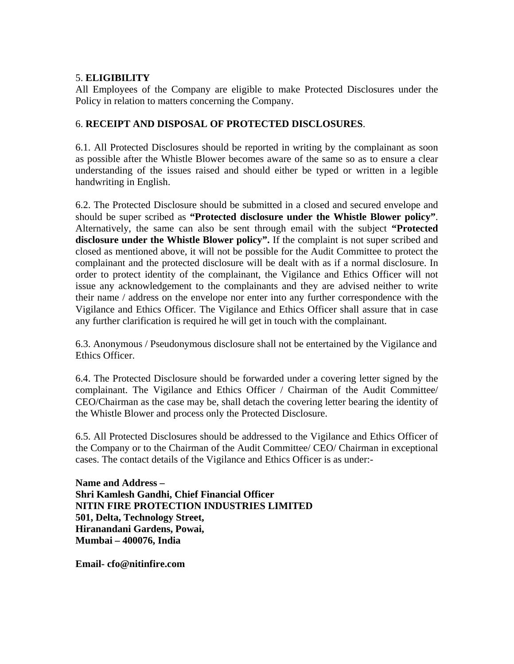### 5. **ELIGIBILITY**

All Employees of the Company are eligible to make Protected Disclosures under the Policy in relation to matters concerning the Company.

## 6. **RECEIPT AND DISPOSAL OF PROTECTED DISCLOSURES**.

6.1. All Protected Disclosures should be reported in writing by the complainant as soon as possible after the Whistle Blower becomes aware of the same so as to ensure a clear understanding of the issues raised and should either be typed or written in a legible handwriting in English.

6.2. The Protected Disclosure should be submitted in a closed and secured envelope and should be super scribed as **"Protected disclosure under the Whistle Blower policy"**. Alternatively, the same can also be sent through email with the subject **"Protected disclosure under the Whistle Blower policy".** If the complaint is not super scribed and closed as mentioned above, it will not be possible for the Audit Committee to protect the complainant and the protected disclosure will be dealt with as if a normal disclosure. In order to protect identity of the complainant, the Vigilance and Ethics Officer will not issue any acknowledgement to the complainants and they are advised neither to write their name / address on the envelope nor enter into any further correspondence with the Vigilance and Ethics Officer. The Vigilance and Ethics Officer shall assure that in case any further clarification is required he will get in touch with the complainant.

6.3. Anonymous / Pseudonymous disclosure shall not be entertained by the Vigilance and Ethics Officer.

6.4. The Protected Disclosure should be forwarded under a covering letter signed by the complainant. The Vigilance and Ethics Officer / Chairman of the Audit Committee/ CEO/Chairman as the case may be, shall detach the covering letter bearing the identity of the Whistle Blower and process only the Protected Disclosure.

6.5. All Protected Disclosures should be addressed to the Vigilance and Ethics Officer of the Company or to the Chairman of the Audit Committee/ CEO/ Chairman in exceptional cases. The contact details of the Vigilance and Ethics Officer is as under:-

**Name and Address – Shri Kamlesh Gandhi, Chief Financial Officer NITIN FIRE PROTECTION INDUSTRIES LIMITED 501, Delta, Technology Street, Hiranandani Gardens, Powai, Mumbai – 400076, India** 

**Email- cfo@nitinfire.com**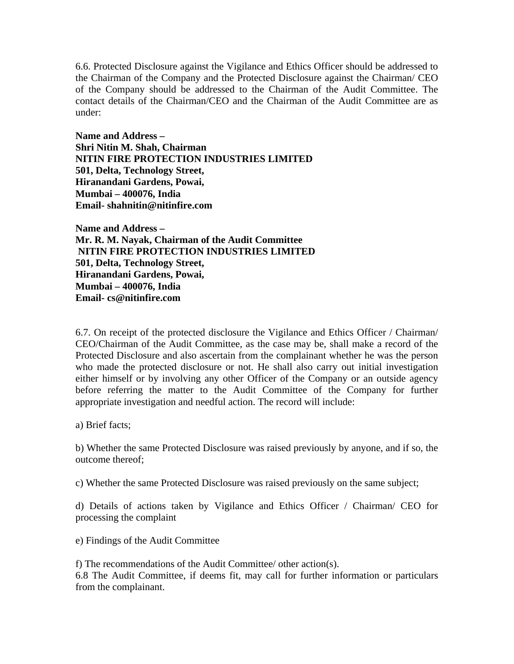6.6. Protected Disclosure against the Vigilance and Ethics Officer should be addressed to the Chairman of the Company and the Protected Disclosure against the Chairman/ CEO of the Company should be addressed to the Chairman of the Audit Committee. The contact details of the Chairman/CEO and the Chairman of the Audit Committee are as under:

**Name and Address – Shri Nitin M. Shah, Chairman NITIN FIRE PROTECTION INDUSTRIES LIMITED 501, Delta, Technology Street, Hiranandani Gardens, Powai, Mumbai – 400076, India Email- shahnitin@nitinfire.com** 

**Name and Address – Mr. R. M. Nayak, Chairman of the Audit Committee NITIN FIRE PROTECTION INDUSTRIES LIMITED 501, Delta, Technology Street, Hiranandani Gardens, Powai, Mumbai – 400076, India Email- cs@nitinfire.com** 

6.7. On receipt of the protected disclosure the Vigilance and Ethics Officer / Chairman/ CEO/Chairman of the Audit Committee, as the case may be, shall make a record of the Protected Disclosure and also ascertain from the complainant whether he was the person who made the protected disclosure or not. He shall also carry out initial investigation either himself or by involving any other Officer of the Company or an outside agency before referring the matter to the Audit Committee of the Company for further appropriate investigation and needful action. The record will include:

a) Brief facts;

b) Whether the same Protected Disclosure was raised previously by anyone, and if so, the outcome thereof;

c) Whether the same Protected Disclosure was raised previously on the same subject;

d) Details of actions taken by Vigilance and Ethics Officer / Chairman/ CEO for processing the complaint

e) Findings of the Audit Committee

f) The recommendations of the Audit Committee/ other action(s). 6.8 The Audit Committee, if deems fit, may call for further information or particulars from the complainant.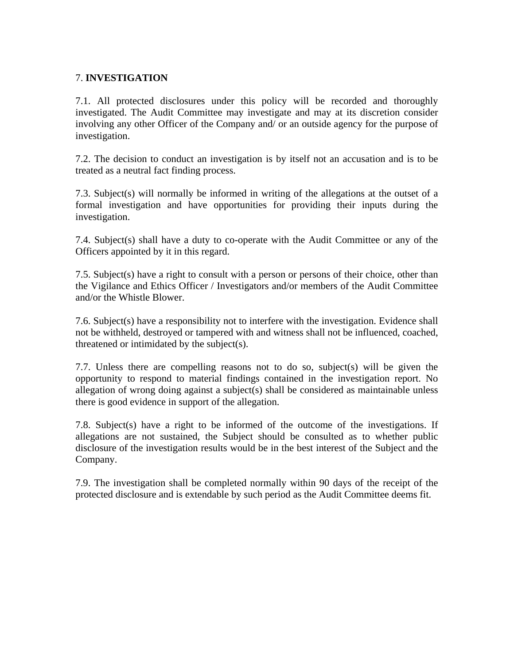### 7. **INVESTIGATION**

7.1. All protected disclosures under this policy will be recorded and thoroughly investigated. The Audit Committee may investigate and may at its discretion consider involving any other Officer of the Company and/ or an outside agency for the purpose of investigation.

7.2. The decision to conduct an investigation is by itself not an accusation and is to be treated as a neutral fact finding process.

7.3. Subject(s) will normally be informed in writing of the allegations at the outset of a formal investigation and have opportunities for providing their inputs during the investigation.

7.4. Subject(s) shall have a duty to co-operate with the Audit Committee or any of the Officers appointed by it in this regard.

7.5. Subject(s) have a right to consult with a person or persons of their choice, other than the Vigilance and Ethics Officer / Investigators and/or members of the Audit Committee and/or the Whistle Blower.

7.6. Subject(s) have a responsibility not to interfere with the investigation. Evidence shall not be withheld, destroyed or tampered with and witness shall not be influenced, coached, threatened or intimidated by the subject(s).

7.7. Unless there are compelling reasons not to do so, subject(s) will be given the opportunity to respond to material findings contained in the investigation report. No allegation of wrong doing against a subject(s) shall be considered as maintainable unless there is good evidence in support of the allegation.

7.8. Subject(s) have a right to be informed of the outcome of the investigations. If allegations are not sustained, the Subject should be consulted as to whether public disclosure of the investigation results would be in the best interest of the Subject and the Company.

7.9. The investigation shall be completed normally within 90 days of the receipt of the protected disclosure and is extendable by such period as the Audit Committee deems fit.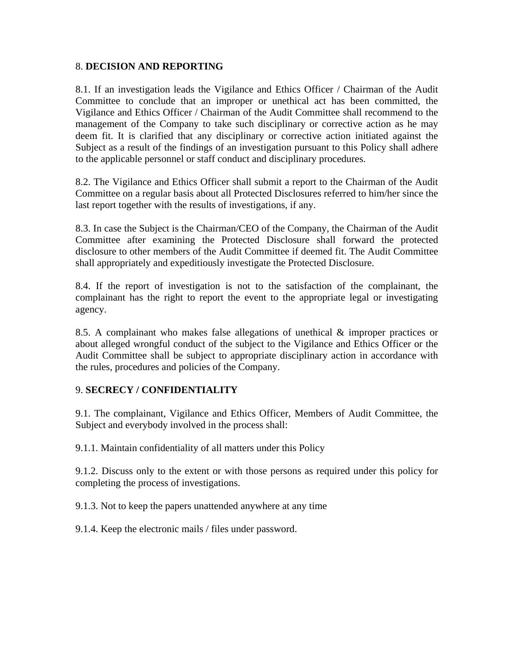#### 8. **DECISION AND REPORTING**

8.1. If an investigation leads the Vigilance and Ethics Officer / Chairman of the Audit Committee to conclude that an improper or unethical act has been committed, the Vigilance and Ethics Officer / Chairman of the Audit Committee shall recommend to the management of the Company to take such disciplinary or corrective action as he may deem fit. It is clarified that any disciplinary or corrective action initiated against the Subject as a result of the findings of an investigation pursuant to this Policy shall adhere to the applicable personnel or staff conduct and disciplinary procedures.

8.2. The Vigilance and Ethics Officer shall submit a report to the Chairman of the Audit Committee on a regular basis about all Protected Disclosures referred to him/her since the last report together with the results of investigations, if any.

8.3. In case the Subject is the Chairman/CEO of the Company, the Chairman of the Audit Committee after examining the Protected Disclosure shall forward the protected disclosure to other members of the Audit Committee if deemed fit. The Audit Committee shall appropriately and expeditiously investigate the Protected Disclosure.

8.4. If the report of investigation is not to the satisfaction of the complainant, the complainant has the right to report the event to the appropriate legal or investigating agency.

8.5. A complainant who makes false allegations of unethical & improper practices or about alleged wrongful conduct of the subject to the Vigilance and Ethics Officer or the Audit Committee shall be subject to appropriate disciplinary action in accordance with the rules, procedures and policies of the Company.

#### 9. **SECRECY / CONFIDENTIALITY**

9.1. The complainant, Vigilance and Ethics Officer, Members of Audit Committee, the Subject and everybody involved in the process shall:

9.1.1. Maintain confidentiality of all matters under this Policy

9.1.2. Discuss only to the extent or with those persons as required under this policy for completing the process of investigations.

9.1.3. Not to keep the papers unattended anywhere at any time

9.1.4. Keep the electronic mails / files under password.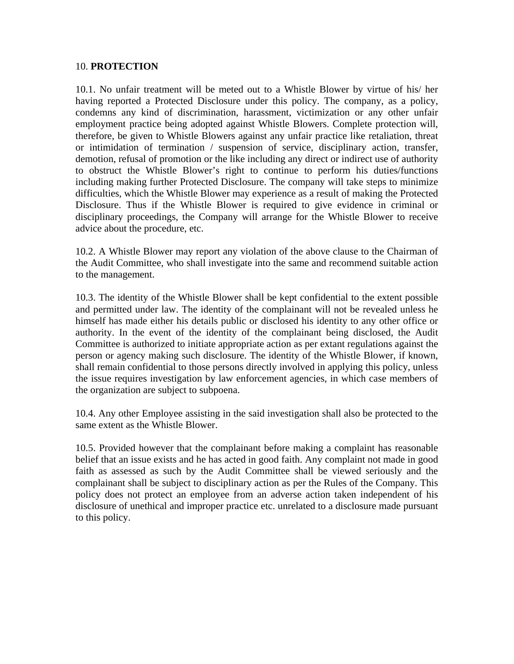#### 10. **PROTECTION**

10.1. No unfair treatment will be meted out to a Whistle Blower by virtue of his/ her having reported a Protected Disclosure under this policy. The company, as a policy, condemns any kind of discrimination, harassment, victimization or any other unfair employment practice being adopted against Whistle Blowers. Complete protection will, therefore, be given to Whistle Blowers against any unfair practice like retaliation, threat or intimidation of termination / suspension of service, disciplinary action, transfer, demotion, refusal of promotion or the like including any direct or indirect use of authority to obstruct the Whistle Blower's right to continue to perform his duties/functions including making further Protected Disclosure. The company will take steps to minimize difficulties, which the Whistle Blower may experience as a result of making the Protected Disclosure. Thus if the Whistle Blower is required to give evidence in criminal or disciplinary proceedings, the Company will arrange for the Whistle Blower to receive advice about the procedure, etc.

10.2. A Whistle Blower may report any violation of the above clause to the Chairman of the Audit Committee, who shall investigate into the same and recommend suitable action to the management.

10.3. The identity of the Whistle Blower shall be kept confidential to the extent possible and permitted under law. The identity of the complainant will not be revealed unless he himself has made either his details public or disclosed his identity to any other office or authority. In the event of the identity of the complainant being disclosed, the Audit Committee is authorized to initiate appropriate action as per extant regulations against the person or agency making such disclosure. The identity of the Whistle Blower, if known, shall remain confidential to those persons directly involved in applying this policy, unless the issue requires investigation by law enforcement agencies, in which case members of the organization are subject to subpoena.

10.4. Any other Employee assisting in the said investigation shall also be protected to the same extent as the Whistle Blower.

10.5. Provided however that the complainant before making a complaint has reasonable belief that an issue exists and he has acted in good faith. Any complaint not made in good faith as assessed as such by the Audit Committee shall be viewed seriously and the complainant shall be subject to disciplinary action as per the Rules of the Company. This policy does not protect an employee from an adverse action taken independent of his disclosure of unethical and improper practice etc. unrelated to a disclosure made pursuant to this policy.